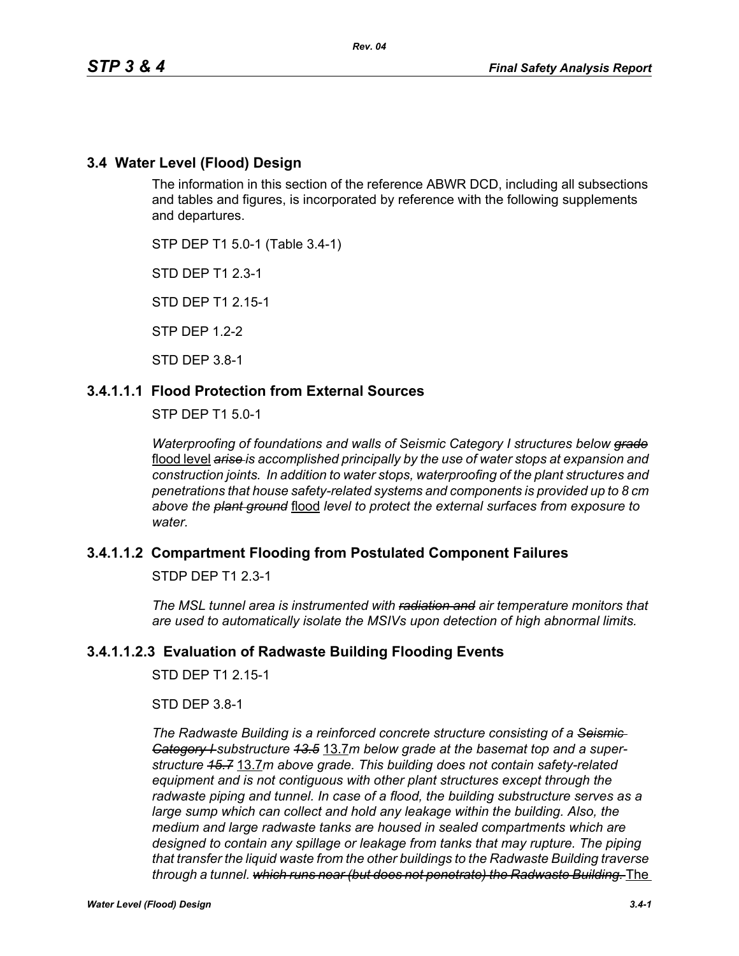# **3.4 Water Level (Flood) Design**

The information in this section of the reference ABWR DCD, including all subsections and tables and figures, is incorporated by reference with the following supplements and departures.

STP DEP T1 5.0-1 (Table 3.4-1)

STD DEP T1 2.3-1

STD DEP T1 2.15-1

STP DEP 1.2-2

STD DEP 3.8-1

# **3.4.1.1.1 Flood Protection from External Sources**

STP DEP T1 5.0-1

*Waterproofing of foundations and walls of Seismic Category I structures below grade* flood level *arise is accomplished principally by the use of water stops at expansion and construction joints. In addition to water stops, waterproofing of the plant structures and penetrations that house safety-related systems and components is provided up to 8 cm above the plant ground* flood *level to protect the external surfaces from exposure to water.*

# **3.4.1.1.2 Compartment Flooding from Postulated Component Failures**

STDP DEP T1 2.3-1

*The MSL tunnel area is instrumented with radiation and air temperature monitors that are used to automatically isolate the MSIVs upon detection of high abnormal limits.*

# **3.4.1.1.2.3 Evaluation of Radwaste Building Flooding Events**

STD DEP T1 2.15-1

STD DEP 3.8-1

*The Radwaste Building is a reinforced concrete structure consisting of a Seismic Category I substructure 13.5* 13.7*m below grade at the basemat top and a superstructure 15.7* 13.7*m above grade. This building does not contain safety-related equipment and is not contiguous with other plant structures except through the*  radwaste piping and tunnel. In case of a flood, the building substructure serves as a *large sump which can collect and hold any leakage within the building. Also, the medium and large radwaste tanks are housed in sealed compartments which are designed to contain any spillage or leakage from tanks that may rupture. The piping that transfer the liquid waste from the other buildings to the Radwaste Building traverse through a tunnel. which runs near (but does not penetrate) the Radwaste Building.* The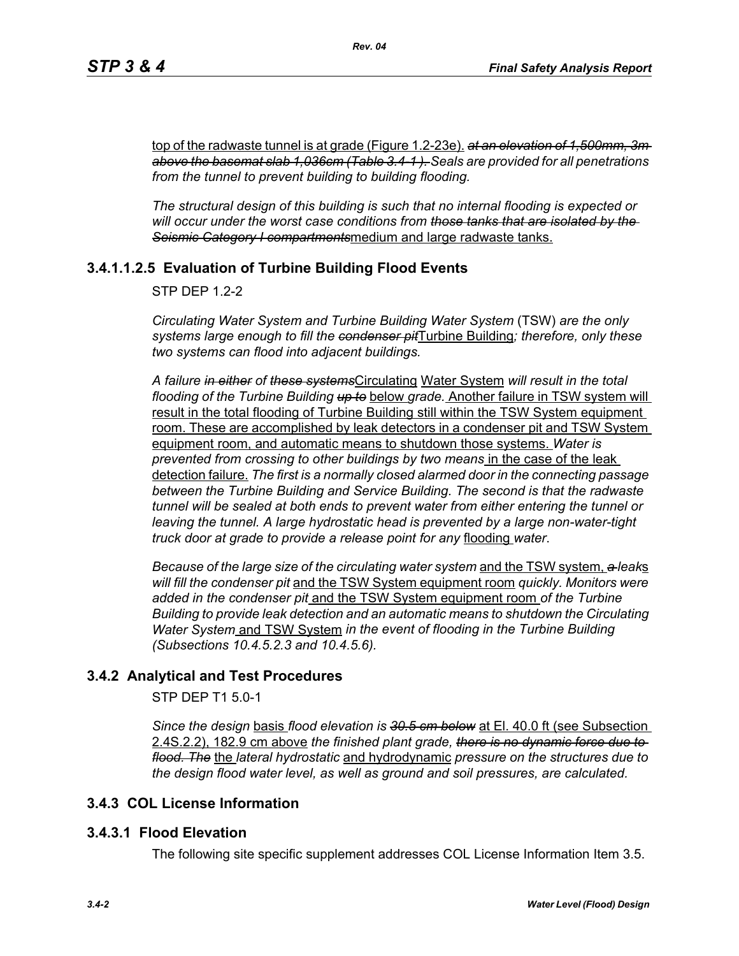top of the radwaste tunnel is at grade (Figure 1.2-23e). *at an elevation of 1,500mm, 3m above the basemat slab 1,036cm (Table 3.4-1 ). Seals are provided for all penetrations from the tunnel to prevent building to building flooding.*

*Rev. 04*

*The structural design of this building is such that no internal flooding is expected or will occur under the worst case conditions from those tanks that are isolated by the Seismic Category I compartments*medium and large radwaste tanks.

# **3.4.1.1.2.5 Evaluation of Turbine Building Flood Events**

STP DEP 1.2-2

*Circulating Water System and Turbine Building Water System* (TSW) *are the only systems large enough to fill the condenser pit*Turbine Building*; therefore, only these two systems can flood into adjacent buildings.*

*A failure in either of these systems*Circulating Water System *will result in the total flooding of the Turbine Building up to* below *grade.* Another failure in TSW system will result in the total flooding of Turbine Building still within the TSW System equipment room. These are accomplished by leak detectors in a condenser pit and TSW System equipment room, and automatic means to shutdown those systems. *Water is prevented from crossing to other buildings by two means* in the case of the leak detection failure. *The first is a normally closed alarmed door in the connecting passage between the Turbine Building and Service Building. The second is that the radwaste tunnel will be sealed at both ends to prevent water from either entering the tunnel or leaving the tunnel. A large hydrostatic head is prevented by a large non-water-tight truck door at grade to provide a release point for any* flooding *water*.

*Because of the large size of the circulating water system* and the TSW system, *a leak*s *will fill the condenser pit* and the TSW System equipment room *quickly. Monitors were added in the condenser pit* and the TSW System equipment room *of the Turbine Building to provide leak detection and an automatic means to shutdown the Circulating Water System* and TSW System *in the event of flooding in the Turbine Building (Subsections 10.4.5.2.3 and 10.4.5.6).*

# **3.4.2 Analytical and Test Procedures**

STP DEP T1 5.0-1

*Since the design* basis *flood elevation is 30.5 cm below* at El. 40.0 ft (see Subsection 2.4S.2.2), 182.9 cm above *the finished plant grade, there is no dynamic force due to flood. The* the *lateral hydrostatic* and hydrodynamic *pressure on the structures due to the design flood water level, as well as ground and soil pressures, are calculated.*

#### **3.4.3 COL License Information**

#### **3.4.3.1 Flood Elevation**

The following site specific supplement addresses COL License Information Item 3.5.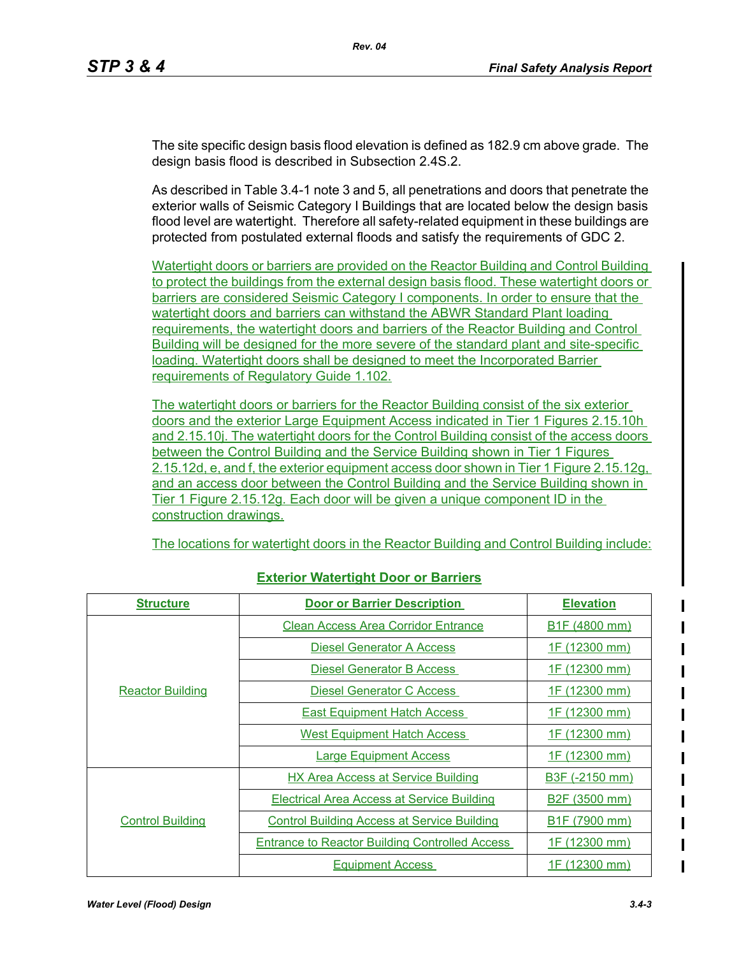The site specific design basis flood elevation is defined as 182.9 cm above grade. The design basis flood is described in Subsection 2.4S.2.

As described in Table 3.4-1 note 3 and 5, all penetrations and doors that penetrate the exterior walls of Seismic Category I Buildings that are located below the design basis flood level are watertight. Therefore all safety-related equipment in these buildings are protected from postulated external floods and satisfy the requirements of GDC 2.

Watertight doors or barriers are provided on the Reactor Building and Control Building to protect the buildings from the external design basis flood. These watertight doors or barriers are considered Seismic Category I components. In order to ensure that the watertight doors and barriers can withstand the ABWR Standard Plant loading requirements, the watertight doors and barriers of the Reactor Building and Control Building will be designed for the more severe of the standard plant and site-specific loading. Watertight doors shall be designed to meet the Incorporated Barrier requirements of Regulatory Guide 1.102.

The watertight doors or barriers for the Reactor Building consist of the six exterior doors and the exterior Large Equipment Access indicated in Tier 1 Figures 2.15.10h and 2.15.10j. The watertight doors for the Control Building consist of the access doors between the Control Building and the Service Building shown in Tier 1 Figures 2.15.12d, e, and f, the exterior equipment access door shown in Tier 1 Figure 2.15.12g, and an access door between the Control Building and the Service Building shown in Tier 1 Figure 2.15.12g. Each door will be given a unique component ID in the construction drawings.

The locations for watertight doors in the Reactor Building and Control Building include:

| <b>Structure</b>        | <b>Door or Barrier Description</b>                    | <b>Elevation</b>           |  |
|-------------------------|-------------------------------------------------------|----------------------------|--|
|                         | <b>Clean Access Area Corridor Entrance</b>            | B <sub>1</sub> F (4800 mm) |  |
| <b>Reactor Building</b> | <b>Diesel Generator A Access</b>                      | 1F (12300 mm)              |  |
|                         | Diesel Generator B Access                             | 1F (12300 mm)              |  |
|                         | <b>Diesel Generator C Access</b>                      | 1F (12300 mm)              |  |
|                         | <b>East Equipment Hatch Access</b>                    | 1F (12300 mm)              |  |
|                         | <b>West Equipment Hatch Access</b>                    | 1F_(12300 mm)              |  |
|                         | <b>Large Equipment Access</b>                         | 1F <sub>(12300 mm)</sub>   |  |
| <b>Control Building</b> | <b>HX Area Access at Service Building</b>             | B3F (-2150 mm)             |  |
|                         | <b>Electrical Area Access at Service Building</b>     | B <sub>2</sub> F (3500 mm) |  |
|                         | <b>Control Building Access at Service Building</b>    | B1F (7900 mm)              |  |
|                         | <b>Entrance to Reactor Building Controlled Access</b> | 1F_(12300 mm)              |  |
|                         | <b>Equipment Access</b>                               | 1F (12300 mm)              |  |

# **Exterior Watertight Door or Barriers**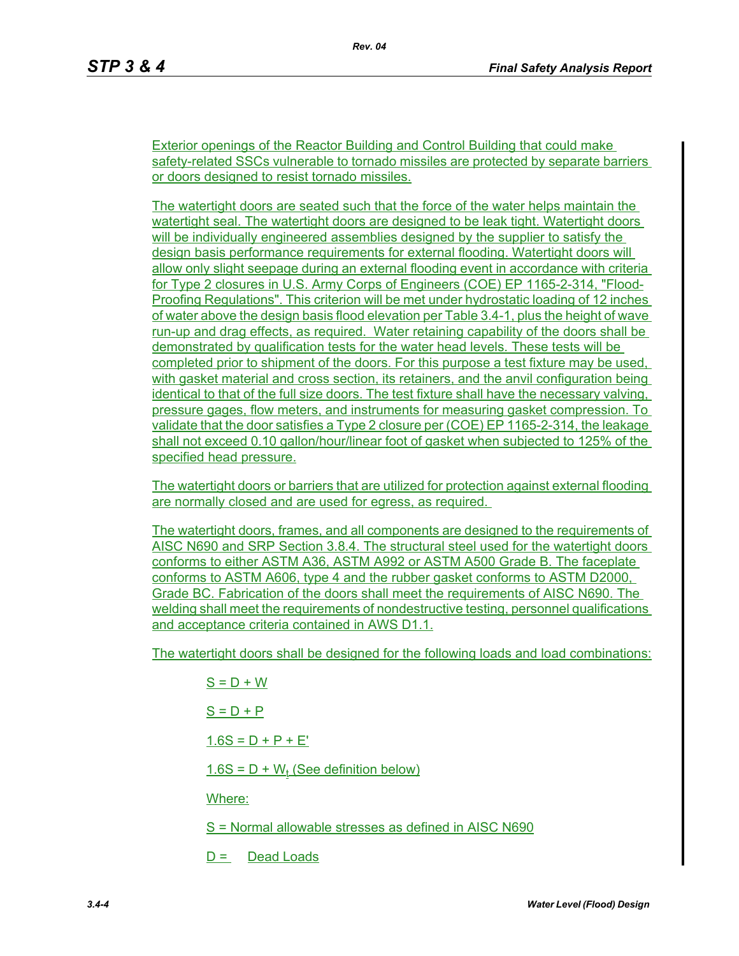Exterior openings of the Reactor Building and Control Building that could make safety-related SSCs vulnerable to tornado missiles are protected by separate barriers or doors designed to resist tornado missiles.

The watertight doors are seated such that the force of the water helps maintain the watertight seal. The watertight doors are designed to be leak tight. Watertight doors will be individually engineered assemblies designed by the supplier to satisfy the design basis performance requirements for external flooding. Watertight doors will allow only slight seepage during an external flooding event in accordance with criteria for Type 2 closures in U.S. Army Corps of Engineers (COE) EP 1165-2-314, "Flood-Proofing Regulations". This criterion will be met under hydrostatic loading of 12 inches of water above the design basis flood elevation per Table 3.4-1, plus the height of wave run-up and drag effects, as required. Water retaining capability of the doors shall be demonstrated by qualification tests for the water head levels. These tests will be completed prior to shipment of the doors. For this purpose a test fixture may be used, with gasket material and cross section, its retainers, and the anvil configuration being identical to that of the full size doors. The test fixture shall have the necessary valving, pressure gages, flow meters, and instruments for measuring gasket compression. To validate that the door satisfies a Type 2 closure per (COE) EP 1165-2-314, the leakage shall not exceed 0.10 gallon/hour/linear foot of gasket when subjected to 125% of the specified head pressure.

The watertight doors or barriers that are utilized for protection against external flooding are normally closed and are used for egress, as required.

The watertight doors, frames, and all components are designed to the requirements of AISC N690 and SRP Section 3.8.4. The structural steel used for the watertight doors conforms to either ASTM A36, ASTM A992 or ASTM A500 Grade B. The faceplate conforms to ASTM A606, type 4 and the rubber gasket conforms to ASTM D2000, Grade BC. Fabrication of the doors shall meet the requirements of AISC N690. The welding shall meet the requirements of nondestructive testing, personnel qualifications and acceptance criteria contained in AWS D1.1.

The watertight doors shall be designed for the following loads and load combinations:

 $S = D + W$  $S = D + P$  $1.6S = D + P + E'$  $1.6S = D + W_t$  (See definition below) Where:

S = Normal allowable stresses as defined in AISC N690

 $D =$  Dead Loads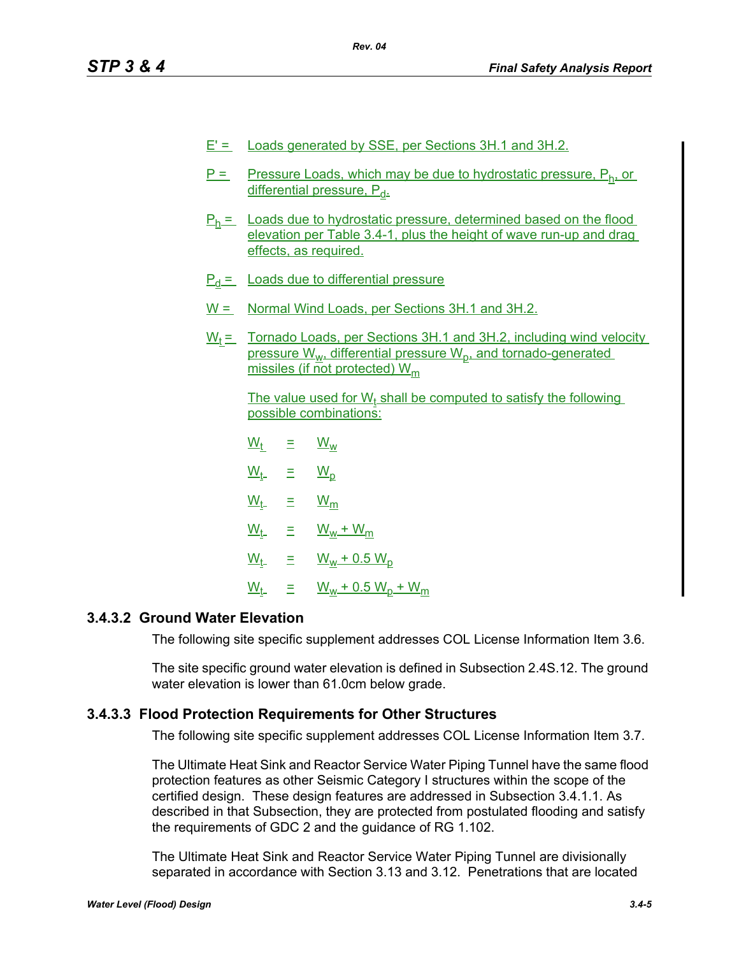- $E' =$  Loads generated by SSE, per Sections 3H.1 and 3H.2.
- $P =$  Pressure Loads, which may be due to hydrostatic pressure,  $P_h$  or differential pressure, P<sub>d-</sub>
- $P_h$  = Loads due to hydrostatic pressure, determined based on the flood elevation per Table 3.4-1, plus the height of wave run-up and drag effects, as required.
- $P_d$  = Loads due to differential pressure
- W = Normal Wind Loads, per Sections 3H.1 and 3H.2.
- $W_t =$  Tornado Loads, per Sections 3H.1 and 3H.2, including wind velocity pressure  $W_{w_1}$  differential pressure  $W_{p_1}$  and tornado-generated missiles (if not protected) W<sub>m</sub>

The value used for  $W_t$  shall be computed to satisfy the following possible combinations:

| $\underline{\mathsf{W}}_\mathsf{t}$           | Ξ | $\underline{W_w}$                     |
|-----------------------------------------------|---|---------------------------------------|
| $\underline{\mathsf{W}}_{\mathsf{t}\text{-}}$ | Ξ | $\underline{W}_{\underline{D}}$       |
| $\underline{\mathsf{W}}_{\mathsf{t}\text{-}}$ | Ξ | $\underline{\mathsf{W}}_{\mathsf{m}}$ |
| $\underline{\mathsf{W}}_{\mathsf{t-}}$        | Ξ | $W_w + W_m$                           |
| $\underline{\mathsf{W}}_{\mathsf{t}\text{-}}$ | Ξ | $W_w + 0.5 W_p$                       |
| $\underline{\mathsf{W}}_{\mathsf{t}\text{-}}$ | Ξ | $W_w + 0.5 W_p + W_m$                 |

# **3.4.3.2 Ground Water Elevation**

The following site specific supplement addresses COL License Information Item 3.6.

The site specific ground water elevation is defined in Subsection 2.4S.12. The ground water elevation is lower than 61.0cm below grade.

#### **3.4.3.3 Flood Protection Requirements for Other Structures**

The following site specific supplement addresses COL License Information Item 3.7.

The Ultimate Heat Sink and Reactor Service Water Piping Tunnel have the same flood protection features as other Seismic Category I structures within the scope of the certified design. These design features are addressed in Subsection 3.4.1.1. As described in that Subsection, they are protected from postulated flooding and satisfy the requirements of GDC 2 and the guidance of RG 1.102.

The Ultimate Heat Sink and Reactor Service Water Piping Tunnel are divisionally separated in accordance with Section 3.13 and 3.12. Penetrations that are located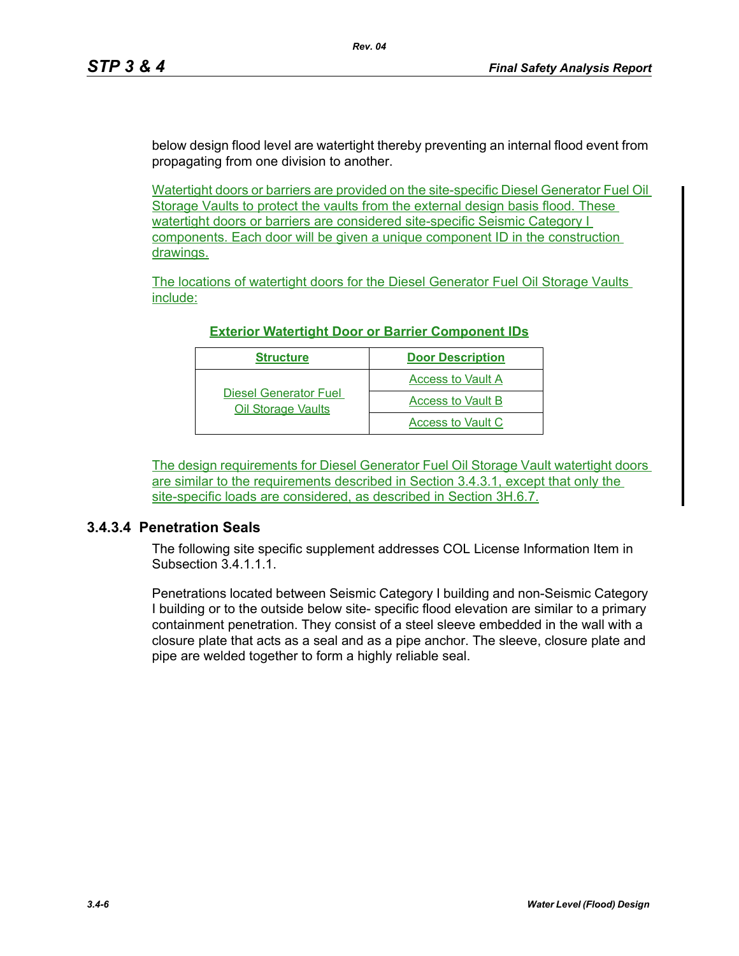below design flood level are watertight thereby preventing an internal flood event from propagating from one division to another.

*Rev. 04*

Watertight doors or barriers are provided on the site-specific Diesel Generator Fuel Oil Storage Vaults to protect the vaults from the external design basis flood. These watertight doors or barriers are considered site-specific Seismic Category I components. Each door will be given a unique component ID in the construction drawings.

The locations of watertight doors for the Diesel Generator Fuel Oil Storage Vaults include:

| <b>Structure</b>                                          | <b>Door Description</b>  |
|-----------------------------------------------------------|--------------------------|
|                                                           | <b>Access to Vault A</b> |
| <b>Diesel Generator Fuel</b><br><b>Oil Storage Vaults</b> | <b>Access to Vault B</b> |
|                                                           | Access to Vault C        |

### **Exterior Watertight Door or Barrier Component IDs**

The design requirements for Diesel Generator Fuel Oil Storage Vault watertight doors are similar to the requirements described in Section 3.4.3.1, except that only the site-specific loads are considered, as described in Section 3H.6.7.

# **3.4.3.4 Penetration Seals**

The following site specific supplement addresses COL License Information Item in Subsection 3.4.1.1.1.

Penetrations located between Seismic Category I building and non-Seismic Category I building or to the outside below site- specific flood elevation are similar to a primary containment penetration. They consist of a steel sleeve embedded in the wall with a closure plate that acts as a seal and as a pipe anchor. The sleeve, closure plate and pipe are welded together to form a highly reliable seal.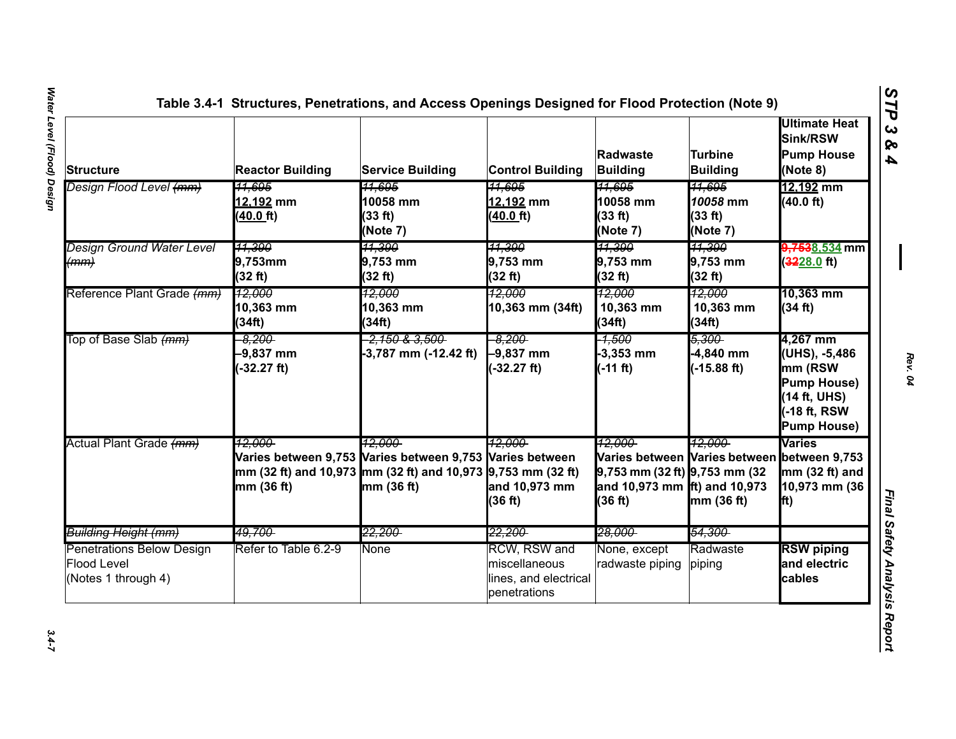| <b>Structure</b>                                                       | <b>Reactor Building</b>                                                              | <b>Service Building</b>                                                                   | <b>Control Building</b>                                                       | Radwaste<br><b>Building</b>                                                                                                           | <b>Turbine</b><br><b>Building</b>                    | <b>Ultimate Heat</b><br>Sink/RSW<br><b>Pump House</b><br>(Note 8)                                               |
|------------------------------------------------------------------------|--------------------------------------------------------------------------------------|-------------------------------------------------------------------------------------------|-------------------------------------------------------------------------------|---------------------------------------------------------------------------------------------------------------------------------------|------------------------------------------------------|-----------------------------------------------------------------------------------------------------------------|
| Design Flood Level <del>(mm)</del>                                     | <del>11,695</del><br>12,192 mm<br>$(40.0)$ ft)                                       | <del>11.695</del><br>10058 mm<br>(33 ft)<br>(Note 7)                                      | <del>11.695</del><br>12,192 mm<br>$(40.0)$ ft)                                | <del>11.695</del><br>10058 mm<br>(33 ft)<br>(Note 7)                                                                                  | <del>11,695</del><br>10058 mm<br>(33 ft)<br>(Note 7) | 12,192 mm<br>(40.0 ft)                                                                                          |
| <b>Design Ground Water Level</b><br>(mm)                               | 11,390<br>9,753mm<br>(32 ft)                                                         | 11.390<br>9,753 mm<br>(32 ft)                                                             | 11,390<br>9,753 mm<br>(32 ft)                                                 | 11,390<br>9,753 mm<br>(32 ft)                                                                                                         | 11,390<br>9,753 mm<br>(32 ft)                        | <del>9,753</del> 8,534 mm<br>$(3228.0)$ ft)                                                                     |
| Reference Plant Grade (mm)                                             | <u> 12.000</u><br>10,363 mm<br>(34ft)                                                | 12.000<br>10,363 mm<br>(34ft)                                                             | 12.000<br>10,363 mm (34ft)                                                    | <u> 12.000 </u><br>10,363 mm<br>(34ft)                                                                                                | 12,000<br>10,363 mm<br>(34ft)                        | 10,363 mm<br>(34 ft)                                                                                            |
| Top of Base Slab <del>(mm)</del>                                       | $-8.200$<br>$-9,837$ mm<br>$(-32.27 ft)$                                             | <del>2,150 &amp; 3,500 -</del><br>-3,787 mm (-12.42 ft)                                   | $-8.200$<br>$-9,837$ mm<br>$(-32.27 ft)$                                      | -1,500<br>$-3,353$ mm<br>$(-11 ft)$                                                                                                   | 5,300<br>$-4,840$ mm<br>$(-15.88 ft)$                | 4,267 mm<br>(UHS), -5,486<br>mm (RSW<br><b>Pump House)</b><br>(14 ft, UHS)<br>-18 ft, RSW<br><b>Pump House)</b> |
| Actual Plant Grade (mm)                                                | 12.000<br>mm (32 ft) and 10,973 mm (32 ft) and 10,973 9,753 mm (32 ft)<br>mm (36 ft) | <u> 12.000-</u><br>Varies between 9,753 Varies between 9,753 Varies between<br>mm (36 ft) | 12.000<br>and 10,973 mm<br>(36 ft)                                            | 12.000<br>Varies between Varies between between 9,753<br>$9,753$ mm (32 ft) $9,753$ mm (32<br>and 10,973 mm ft) and 10,973<br>(36 ft) | 12.000<br>mm(36 ft)                                  | Varies<br>mm (32 ft) and<br>10,973 mm (36<br>$\mathbf{f}(\mathbf{t})$                                           |
| Building Height (mm)                                                   | 49.700-                                                                              | <del>22.200-</del>                                                                        | <del>22.200</del>                                                             | <del>28.000-</del>                                                                                                                    | <del>54.300</del>                                    |                                                                                                                 |
| Penetrations Below Design<br><b>Flood Level</b><br>(Notes 1 through 4) | Refer to Table 6.2-9                                                                 | None                                                                                      | <b>RCW, RSW and</b><br>miscellaneous<br>lines, and electrical<br>penetrations | None, except<br>radwaste piping                                                                                                       | Radwaste<br>piping                                   | <b>RSW piping</b><br>and electric<br>cables                                                                     |

 $3.4 - 7$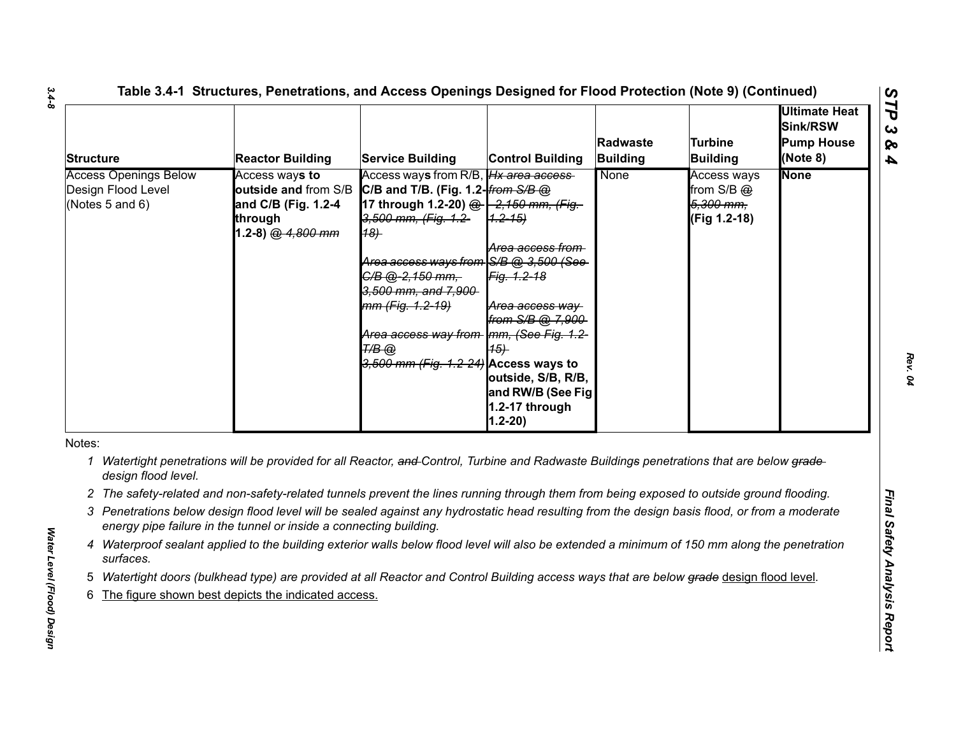| <b>Structure</b>                                                      | <b>Reactor Building</b>                                                                                                                                                                                             | <b>Service Building</b>                                                                                                                                                                                                                                                                                                                                                                     | <b>Control Building</b>                                                                                                                                                   | Radwaste<br><b>Building</b> | Turbine<br><b>Building</b>                             | <b>Ultimate Heat</b><br>Sink/RSW<br><b>Pump House</b><br>(Note 8) |
|-----------------------------------------------------------------------|---------------------------------------------------------------------------------------------------------------------------------------------------------------------------------------------------------------------|---------------------------------------------------------------------------------------------------------------------------------------------------------------------------------------------------------------------------------------------------------------------------------------------------------------------------------------------------------------------------------------------|---------------------------------------------------------------------------------------------------------------------------------------------------------------------------|-----------------------------|--------------------------------------------------------|-------------------------------------------------------------------|
| <b>Access Openings Below</b><br>Design Flood Level<br>(Notes 5 and 6) | Access ways to<br>and C/B (Fig. 1.2-4<br>through<br>1.2-8) @ 4,800 mm                                                                                                                                               | Access ways from R/B, <i>Hx area access</i><br>outside and from S/B C/B and T/B. (Fig. 1.2- <i>from S/B @</i><br>17 through 1.2-20) @ -2,150 mm, (Fig.<br>3,500 mm, (Fig. 1.2-<br>18)<br>Area access ways from S/B @ 3.500 (See<br>C/B @-2,150 mm,<br>3,500 mm, and 7,900<br>mm (Fig. 1.2-19)<br>Area access way from Imm, (See Fig. 1.2-<br>Т/В @<br>3,500 mm (Fig. 1.2-24) Access ways to | $(1.2 - 15)$<br>Area access from<br>Fig. 1.2-18<br>Area access way<br>from S/B @ 7,900<br>(15)<br>outside, S/B, R/B,<br>and RW/B (See Fig<br>1.2-17 through<br>$1.2 - 20$ | None                        | Access ways<br>from S/B @<br>5,300 mm,<br>(Fig 1.2-18) | <b>None</b>                                                       |
| Notes:                                                                |                                                                                                                                                                                                                     |                                                                                                                                                                                                                                                                                                                                                                                             |                                                                                                                                                                           |                             |                                                        |                                                                   |
| design flood level.                                                   | 1 Watertight penetrations will be provided for all Reactor, and Control, Turbine and Radwaste Buildings penetrations that are below grade-                                                                          |                                                                                                                                                                                                                                                                                                                                                                                             |                                                                                                                                                                           |                             |                                                        |                                                                   |
|                                                                       | 2 The safety-related and non-safety-related tunnels prevent the lines running through them from being exposed to outside ground flooding.                                                                           |                                                                                                                                                                                                                                                                                                                                                                                             |                                                                                                                                                                           |                             |                                                        |                                                                   |
|                                                                       | 3 Penetrations below design flood level will be sealed against any hydrostatic head resulting from the design basis flood, or from a moderate<br>energy pipe failure in the tunnel or inside a connecting building. |                                                                                                                                                                                                                                                                                                                                                                                             |                                                                                                                                                                           |                             |                                                        |                                                                   |
| surfaces.                                                             | 4 Waterproof sealant applied to the building exterior walls below flood level will also be extended a minimum of 150 mm along the penetration                                                                       |                                                                                                                                                                                                                                                                                                                                                                                             |                                                                                                                                                                           |                             |                                                        |                                                                   |
|                                                                       | Watertight doors (bulkhead type) are provided at all Reactor and Control Building access ways that are below grade design flood level.                                                                              |                                                                                                                                                                                                                                                                                                                                                                                             |                                                                                                                                                                           |                             |                                                        |                                                                   |
|                                                                       | The figure shown best depicts the indicated access.                                                                                                                                                                 |                                                                                                                                                                                                                                                                                                                                                                                             |                                                                                                                                                                           |                             |                                                        |                                                                   |

*Water Level (Flood) Design* 

Water Level (Flood) Design

- 
- 
- 
- 
- 
- 

*3.4-8*